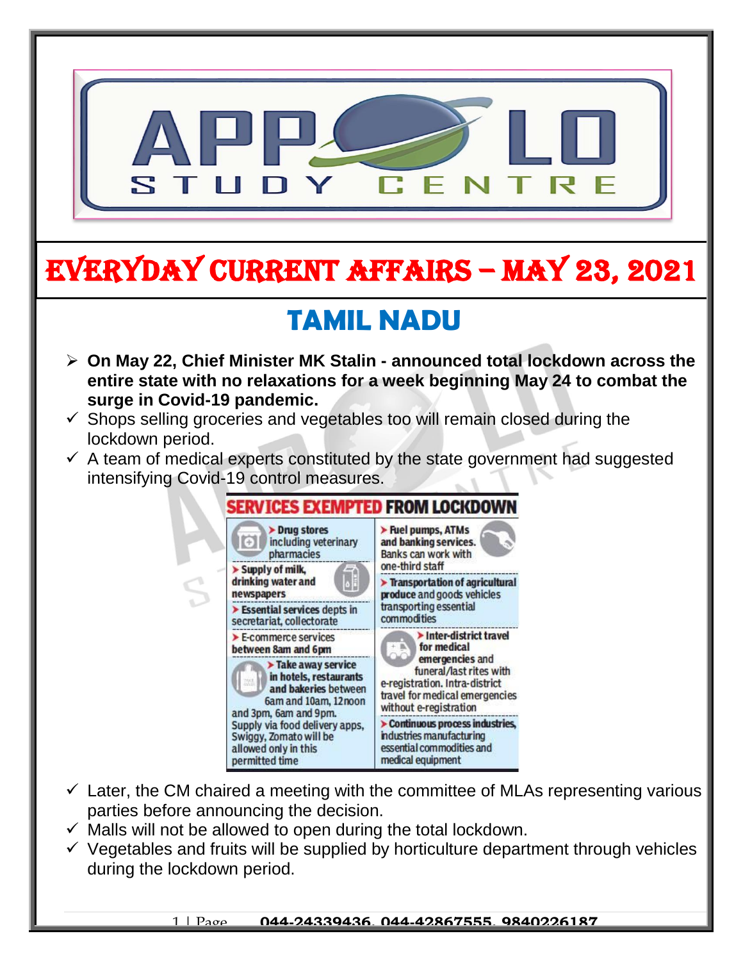

# EVERYDAY CURRENT AFFAIRS – MAY 23, 2021

## **TAMIL NADU**

- **On May 22, Chief Minister MK Stalin - announced total lockdown across the entire state with no relaxations for a week beginning May 24 to combat the surge in Covid-19 pandemic.**
- $\checkmark$  Shops selling groceries and vegetables too will remain closed during the lockdown period.

-

 $\checkmark$  A team of medical experts constituted by the state government had suggested intensifying Covid-19 control measures.



- $\checkmark$  Later, the CM chaired a meeting with the committee of MLAs representing various parties before announcing the decision.
- $\checkmark$  Malls will not be allowed to open during the total lockdown.
- $\checkmark$  Vegetables and fruits will be supplied by horticulture department through vehicles during the lockdown period.

1 | Page **044-24339436, 044-42867555, 9840226187**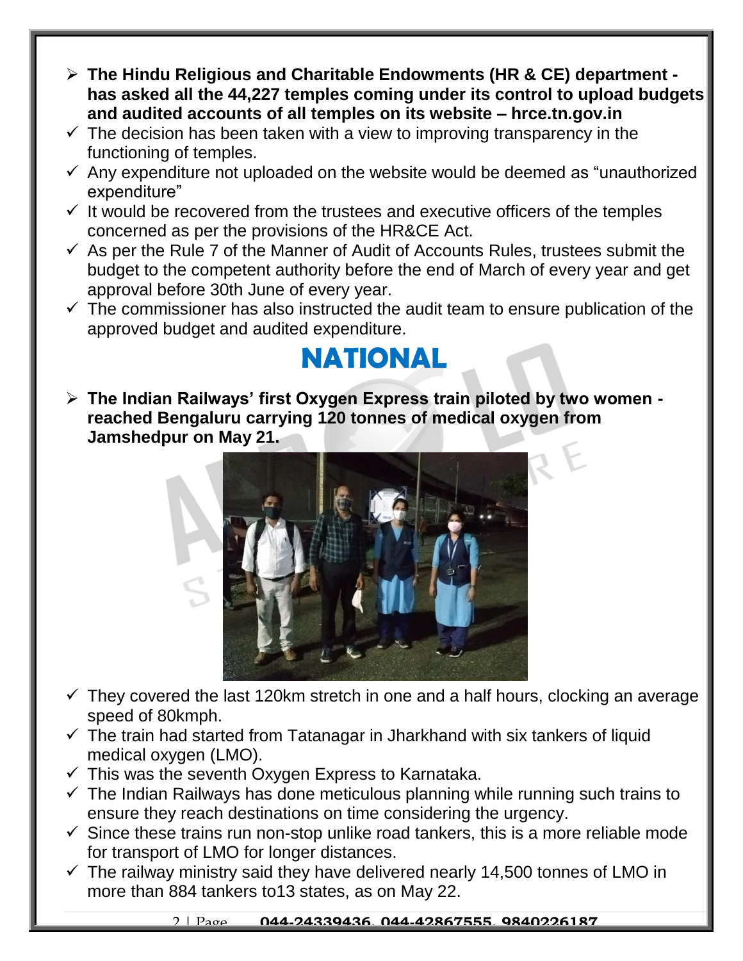- **The Hindu Religious and Charitable Endowments (HR & CE) department has asked all the 44,227 temples coming under its control to upload budgets and audited accounts of all temples on its website – hrce.tn.gov.in**
- $\checkmark$  The decision has been taken with a view to improving transparency in the functioning of temples.
- $\checkmark$  Any expenditure not uploaded on the website would be deemed as "unauthorized expenditure"
- $\checkmark$  It would be recovered from the trustees and executive officers of the temples concerned as per the provisions of the HR&CE Act.
- $\checkmark$  As per the Rule 7 of the Manner of Audit of Accounts Rules, trustees submit the budget to the competent authority before the end of March of every year and get approval before 30th June of every year.
- $\checkmark$  The commissioner has also instructed the audit team to ensure publication of the approved budget and audited expenditure.

#### **NATIONAL**

 **The Indian Railways' first Oxygen Express train piloted by two women reached Bengaluru carrying 120 tonnes of medical oxygen from Jamshedpur on May 21.** 



- $\checkmark$  They covered the last 120km stretch in one and a half hours, clocking an average speed of 80kmph.
- $\checkmark$  The train had started from Tatanagar in Jharkhand with six tankers of liquid medical oxygen (LMO).
- $\checkmark$  This was the seventh Oxygen Express to Karnataka.
- $\checkmark$  The Indian Railways has done meticulous planning while running such trains to ensure they reach destinations on time considering the urgency.
- $\checkmark$  Since these trains run non-stop unlike road tankers, this is a more reliable mode for transport of LMO for longer distances.
- $\checkmark$  The railway ministry said they have delivered nearly 14,500 tonnes of LMO in more than 884 tankers to13 states, as on May 22.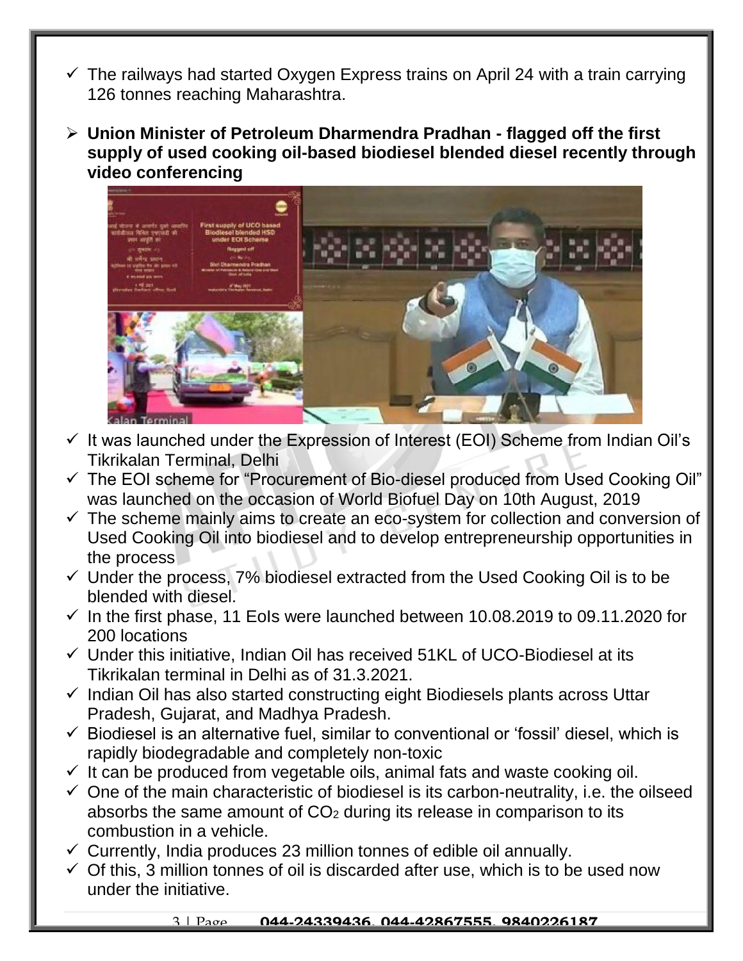- $\checkmark$  The railways had started Oxygen Express trains on April 24 with a train carrying 126 tonnes reaching Maharashtra.
- **Union Minister of Petroleum Dharmendra Pradhan - flagged off the first supply of used cooking oil-based biodiesel blended diesel recently through video conferencing**



- $\checkmark$  It was launched under the Expression of Interest (EOI) Scheme from Indian Oil's Tikrikalan Terminal, Delhi
- The EOI scheme for "Procurement of Bio-diesel produced from Used Cooking Oil" was launched on the occasion of World Biofuel Day on 10th August, 2019
- $\checkmark$  The scheme mainly aims to create an eco-system for collection and conversion of Used Cooking Oil into biodiesel and to develop entrepreneurship opportunities in the process
- $\checkmark$  Under the process, 7% biodiesel extracted from the Used Cooking Oil is to be blended with diesel.
- $\checkmark$  In the first phase, 11 EoIs were launched between 10.08.2019 to 09.11.2020 for 200 locations
- $\checkmark$  Under this initiative, Indian Oil has received 51KL of UCO-Biodiesel at its Tikrikalan terminal in Delhi as of 31.3.2021.
- $\checkmark$  Indian Oil has also started constructing eight Biodiesels plants across Uttar Pradesh, Gujarat, and Madhya Pradesh.
- $\checkmark$  Biodiesel is an alternative fuel, similar to conventional or 'fossil' diesel, which is rapidly biodegradable and completely non-toxic
- $\checkmark$  It can be produced from vegetable oils, animal fats and waste cooking oil.
- $\checkmark$  One of the main characteristic of biodiesel is its carbon-neutrality, i.e. the oilseed absorbs the same amount of  $CO<sub>2</sub>$  during its release in comparison to its combustion in a vehicle.
- $\checkmark$  Currently, India produces 23 million tonnes of edible oil annually.
- $\checkmark$  Of this, 3 million tonnes of oil is discarded after use, which is to be used now under the initiative.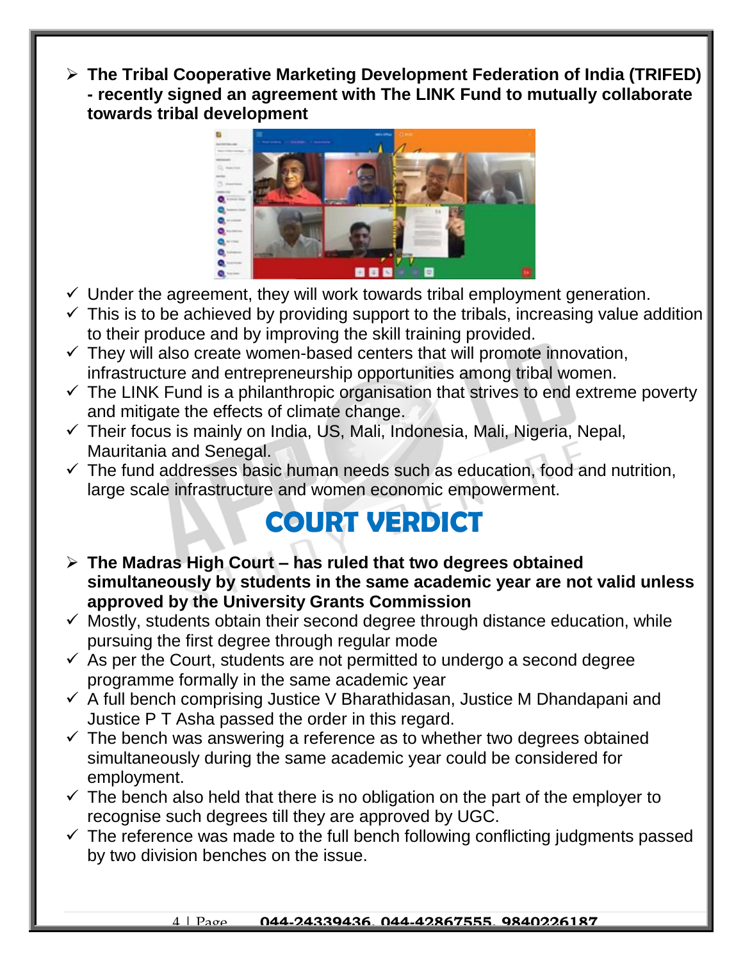**The Tribal Cooperative Marketing Development Federation of India (TRIFED) - recently signed an agreement with The LINK Fund to mutually collaborate towards tribal development** 



- $\checkmark$  Under the agreement, they will work towards tribal employment generation.
- $\checkmark$  This is to be achieved by providing support to the tribals, increasing value addition to their produce and by improving the skill training provided.
- $\checkmark$  They will also create women-based centers that will promote innovation, infrastructure and entrepreneurship opportunities among tribal women.
- $\checkmark$  The LINK Fund is a philanthropic organisation that strives to end extreme poverty and mitigate the effects of climate change.
- $\checkmark$  Their focus is mainly on India, US, Mali, Indonesia, Mali, Nigeria, Nepal, Mauritania and Senegal.
- $\checkmark$  The fund addresses basic human needs such as education, food and nutrition, large scale infrastructure and women economic empowerment.

#### **COURT VERDICT**

- **The Madras High Court – has ruled that two degrees obtained simultaneously by students in the same academic year are not valid unless approved by the University Grants Commission**
- $\checkmark$  Mostly, students obtain their second degree through distance education, while pursuing the first degree through regular mode
- $\checkmark$  As per the Court, students are not permitted to undergo a second degree programme formally in the same academic year
- $\checkmark$  A full bench comprising Justice V Bharathidasan, Justice M Dhandapani and Justice P T Asha passed the order in this regard.
- $\checkmark$  The bench was answering a reference as to whether two degrees obtained simultaneously during the same academic year could be considered for employment.
- $\checkmark$  The bench also held that there is no obligation on the part of the employer to recognise such degrees till they are approved by UGC.
- $\checkmark$  The reference was made to the full bench following conflicting judgments passed by two division benches on the issue.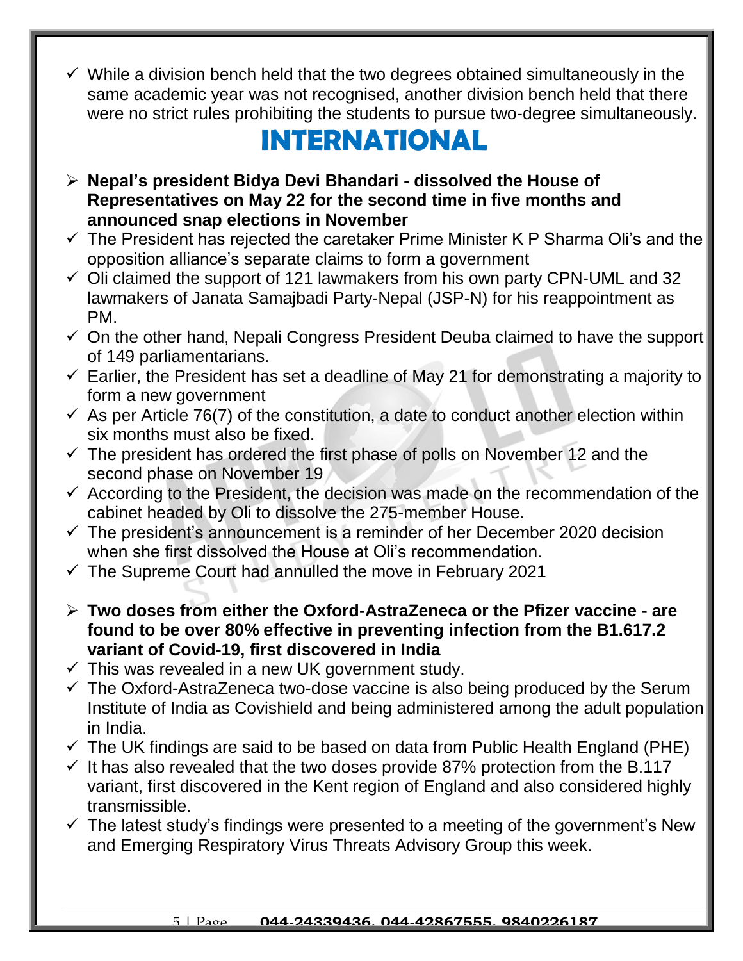$\checkmark$  While a division bench held that the two degrees obtained simultaneously in the same academic year was not recognised, another division bench held that there were no strict rules prohibiting the students to pursue two-degree simultaneously.

#### **INTERNATIONAL**

- **Nepal's president Bidya Devi Bhandari - dissolved the House of Representatives on May 22 for the second time in five months and announced snap elections in November**
- $\checkmark$  The President has rejected the caretaker Prime Minister K P Sharma Oli's and the opposition alliance's separate claims to form a government
- $\checkmark$  Oli claimed the support of 121 lawmakers from his own party CPN-UML and 32 lawmakers of Janata Samajbadi Party-Nepal (JSP-N) for his reappointment as PM.
- $\checkmark$  On the other hand, Nepali Congress President Deuba claimed to have the support of 149 parliamentarians.
- $\checkmark$  Earlier, the President has set a deadline of May 21 for demonstrating a majority to form a new government
- $\checkmark$  As per Article 76(7) of the constitution, a date to conduct another election within six months must also be fixed.
- $\checkmark$  The president has ordered the first phase of polls on November 12 and the second phase on November 19
- $\checkmark$  According to the President, the decision was made on the recommendation of the cabinet headed by Oli to dissolve the 275-member House.
- $\checkmark$  The president's announcement is a reminder of her December 2020 decision when she first dissolved the House at Oli's recommendation.
- $\checkmark$  The Supreme Court had annulled the move in February 2021
- **Two doses from either the Oxford-AstraZeneca or the Pfizer vaccine - are found to be over 80% effective in preventing infection from the B1.617.2 variant of Covid-19, first discovered in India**
- $\checkmark$  This was revealed in a new UK government study.
- $\checkmark$  The Oxford-AstraZeneca two-dose vaccine is also being produced by the Serum Institute of India as Covishield and being administered among the adult population in India.
- $\checkmark$  The UK findings are said to be based on data from Public Health England (PHE)
- $\checkmark$  It has also revealed that the two doses provide 87% protection from the B.117 variant, first discovered in the Kent region of England and also considered highly transmissible.
- $\checkmark$  The latest study's findings were presented to a meeting of the government's New and Emerging Respiratory Virus Threats Advisory Group this week.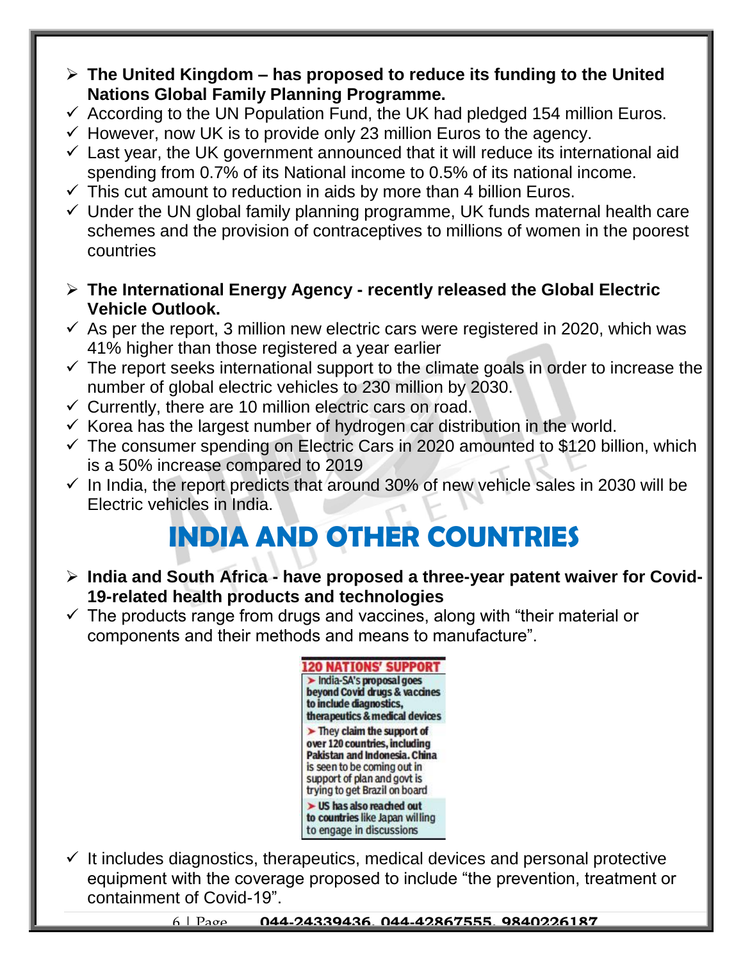- **The United Kingdom – has proposed to reduce its funding to the United Nations Global Family Planning Programme.**
- $\checkmark$  According to the UN Population Fund, the UK had pledged 154 million Euros.
- $\checkmark$  However, now UK is to provide only 23 million Euros to the agency.
- $\checkmark$  Last year, the UK government announced that it will reduce its international aid spending from 0.7% of its National income to 0.5% of its national income.
- $\checkmark$  This cut amount to reduction in aids by more than 4 billion Euros.
- $\checkmark$  Under the UN global family planning programme, UK funds maternal health care schemes and the provision of contraceptives to millions of women in the poorest countries
- **The International Energy Agency - recently released the Global Electric Vehicle Outlook.**
- $\checkmark$  As per the report, 3 million new electric cars were registered in 2020, which was 41% higher than those registered a year earlier
- $\checkmark$  The report seeks international support to the climate goals in order to increase the number of global electric vehicles to 230 million by 2030.
- $\checkmark$  Currently, there are 10 million electric cars on road.
- $\checkmark$  Korea has the largest number of hydrogen car distribution in the world.
- $\checkmark$  The consumer spending on Electric Cars in 2020 amounted to \$120 billion, which is a 50% increase compared to 2019
- $\checkmark$  In India, the report predicts that around 30% of new vehicle sales in 2030 will be Electric vehicles in India.

## **INDIA AND OTHER COUNTRIES**

- **India and South Africa - have proposed a three-year patent waiver for Covid-19-related health products and technologies**
- $\checkmark$  The products range from drugs and vaccines, along with "their material or components and their methods and means to manufacture".



 $\checkmark$  It includes diagnostics, therapeutics, medical devices and personal protective equipment with the coverage proposed to include "the prevention, treatment or containment of Covid-19".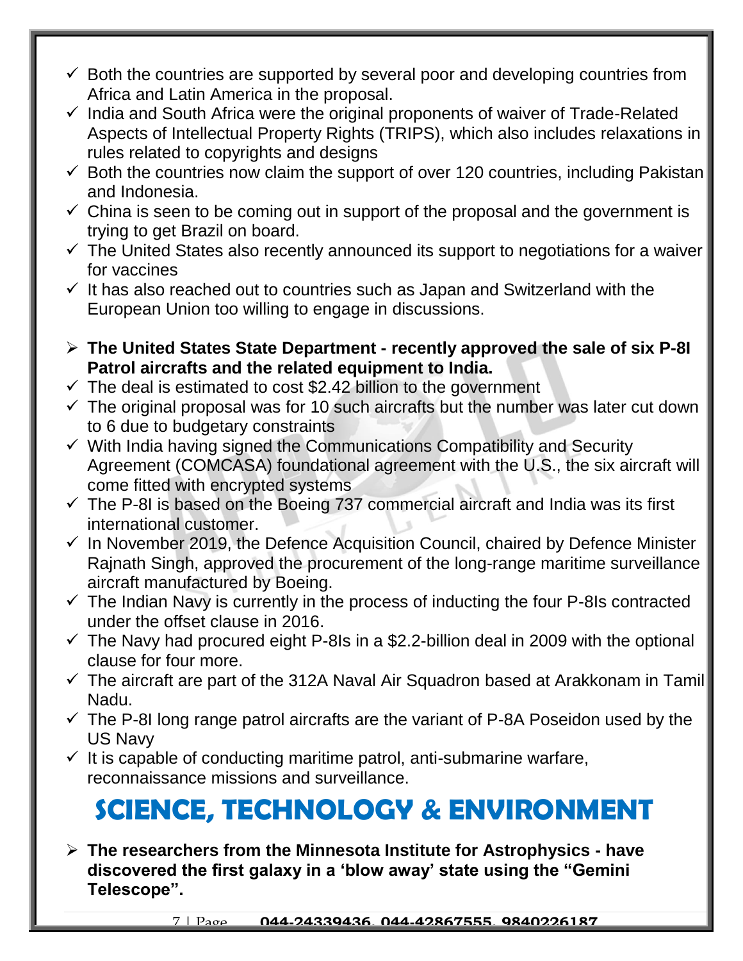- $\checkmark$  Both the countries are supported by several poor and developing countries from Africa and Latin America in the proposal.
- $\checkmark$  India and South Africa were the original proponents of waiver of Trade-Related Aspects of Intellectual Property Rights (TRIPS), which also includes relaxations in rules related to copyrights and designs
- $\checkmark$  Both the countries now claim the support of over 120 countries, including Pakistan and Indonesia.
- $\checkmark$  China is seen to be coming out in support of the proposal and the government is trying to get Brazil on board.
- $\checkmark$  The United States also recently announced its support to negotiations for a waiver for vaccines
- $\checkmark$  It has also reached out to countries such as Japan and Switzerland with the European Union too willing to engage in discussions.
- **The United States State Department - recently approved the sale of six P-8I Patrol aircrafts and the related equipment to India.**
- $\checkmark$  The deal is estimated to cost \$2.42 billion to the government
- $\checkmark$  The original proposal was for 10 such aircrafts but the number was later cut down to 6 due to budgetary constraints
- $\checkmark$  With India having signed the Communications Compatibility and Security Agreement (COMCASA) foundational agreement with the U.S., the six aircraft will come fitted with encrypted systems
- $\checkmark$  The P-8I is based on the Boeing 737 commercial aircraft and India was its first international customer.
- $\checkmark$  In November 2019, the Defence Acquisition Council, chaired by Defence Minister Rajnath Singh, approved the procurement of the long-range maritime surveillance aircraft manufactured by Boeing.
- $\checkmark$  The Indian Navy is currently in the process of inducting the four P-8Is contracted under the offset clause in 2016.
- $\checkmark$  The Navy had procured eight P-8Is in a \$2.2-billion deal in 2009 with the optional clause for four more.
- $\checkmark$  The aircraft are part of the 312A Naval Air Squadron based at Arakkonam in Tamil Nadu.
- $\checkmark$  The P-8I long range patrol aircrafts are the variant of P-8A Poseidon used by the US Navy
- $\checkmark$  It is capable of conducting maritime patrol, anti-submarine warfare, reconnaissance missions and surveillance.

### **SCIENCE, TECHNOLOGY & ENVIRONMENT**

 **The researchers from the Minnesota Institute for Astrophysics - have discovered the first galaxy in a 'blow away' state using the "Gemini Telescope".**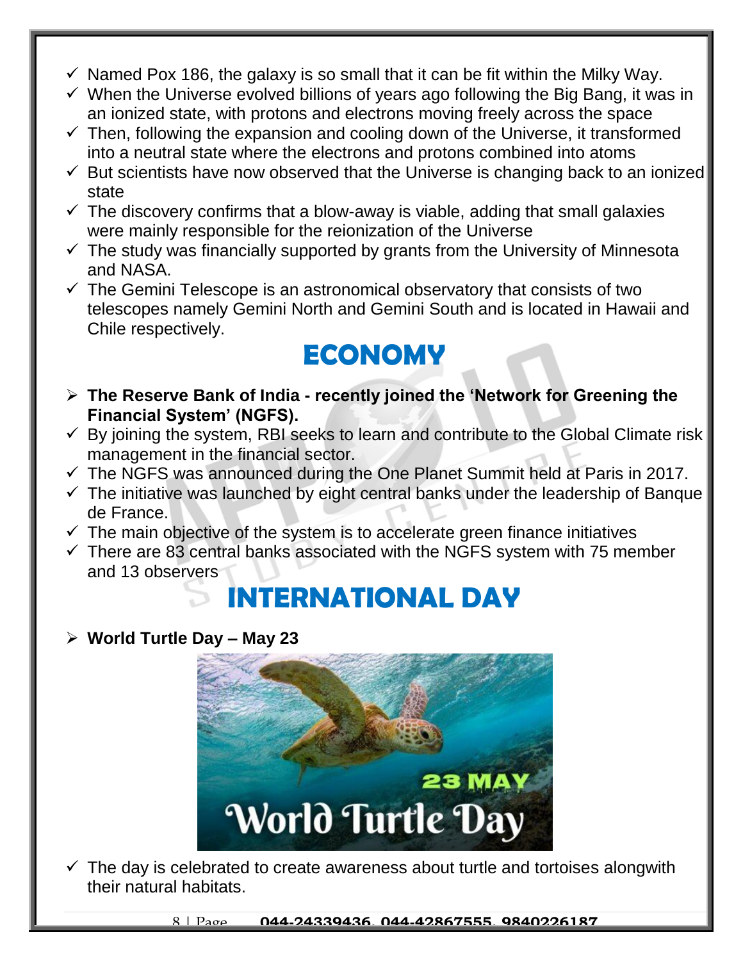- $\checkmark$  Named Pox 186, the galaxy is so small that it can be fit within the Milky Way.
- $\checkmark$  When the Universe evolved billions of years ago following the Big Bang, it was in an ionized state, with protons and electrons moving freely across the space
- $\checkmark$  Then, following the expansion and cooling down of the Universe, it transformed into a neutral state where the electrons and protons combined into atoms
- $\checkmark$  But scientists have now observed that the Universe is changing back to an ionized state
- $\checkmark$  The discovery confirms that a blow-away is viable, adding that small galaxies were mainly responsible for the reionization of the Universe
- $\checkmark$  The study was financially supported by grants from the University of Minnesota and NASA.
- $\checkmark$  The Gemini Telescope is an astronomical observatory that consists of two telescopes namely Gemini North and Gemini South and is located in Hawaii and Chile respectively.

#### **ECONOMY**

- **The Reserve Bank of India - recently joined the 'Network for Greening the Financial System' (NGFS).**
- $\checkmark$  By joining the system, RBI seeks to learn and contribute to the Global Climate risk management in the financial sector.
- $\checkmark$  The NGFS was announced during the One Planet Summit held at Paris in 2017.
- $\checkmark$  The initiative was launched by eight central banks under the leadership of Banque de France.
- $\checkmark$  The main objective of the system is to accelerate green finance initiatives
- $\checkmark$  There are 83 central banks associated with the NGFS system with 75 member and 13 observers

#### **INTERNATIONAL DAY**  $\mathcal{L}$

**World Turtle Day – May 23**



 $\checkmark$  The day is celebrated to create awareness about turtle and tortoises alongwith their natural habitats.

8 | Page **044-24339436, 044-42867555, 9840226187**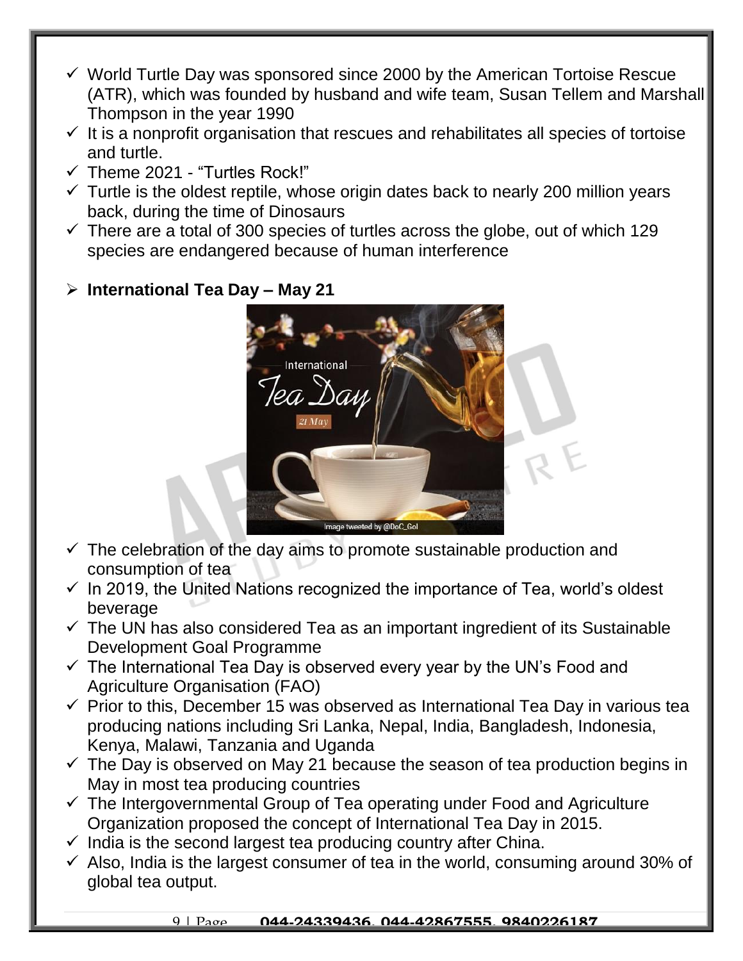- $\checkmark$  World Turtle Day was sponsored since 2000 by the American Tortoise Rescue (ATR), which was founded by husband and wife team, Susan Tellem and Marshall Thompson in the year 1990
- $\checkmark$  It is a nonprofit organisation that rescues and rehabilitates all species of tortoise and turtle.
- $\checkmark$  Theme 2021 "Turtles Rock!"
- $\checkmark$  Turtle is the oldest reptile, whose origin dates back to nearly 200 million years back, during the time of Dinosaurs
- $\checkmark$  There are a total of 300 species of turtles across the globe, out of which 129 species are endangered because of human interference

#### **International Tea Day – May 21**



- $\checkmark$  The celebration of the day aims to promote sustainable production and consumption of tea
- $\checkmark$  In 2019, the United Nations recognized the importance of Tea, world's oldest beverage
- $\checkmark$  The UN has also considered Tea as an important ingredient of its Sustainable Development Goal Programme
- $\checkmark$  The International Tea Day is observed every year by the UN's Food and Agriculture Organisation (FAO)
- $\checkmark$  Prior to this, December 15 was observed as International Tea Day in various tea producing nations including Sri Lanka, Nepal, India, Bangladesh, Indonesia, Kenya, Malawi, Tanzania and Uganda
- $\checkmark$  The Day is observed on May 21 because the season of tea production begins in May in most tea producing countries
- $\checkmark$  The Intergovernmental Group of Tea operating under Food and Agriculture Organization proposed the concept of International Tea Day in 2015.
- $\checkmark$  India is the second largest tea producing country after China.
- $\checkmark$  Also, India is the largest consumer of tea in the world, consuming around 30% of global tea output.